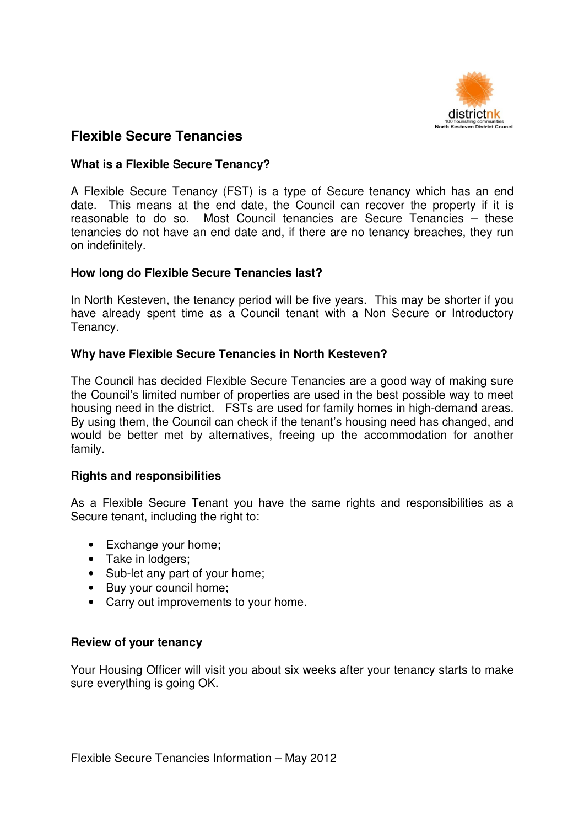

# **Flexible Secure Tenancies**

# **What is a Flexible Secure Tenancy?**

A Flexible Secure Tenancy (FST) is a type of Secure tenancy which has an end date. This means at the end date, the Council can recover the property if it is reasonable to do so. Most Council tenancies are Secure Tenancies – these tenancies do not have an end date and, if there are no tenancy breaches, they run on indefinitely.

### **How long do Flexible Secure Tenancies last?**

In North Kesteven, the tenancy period will be five years. This may be shorter if you have already spent time as a Council tenant with a Non Secure or Introductory Tenancy.

# **Why have Flexible Secure Tenancies in North Kesteven?**

The Council has decided Flexible Secure Tenancies are a good way of making sure the Council's limited number of properties are used in the best possible way to meet housing need in the district. FSTs are used for family homes in high-demand areas. By using them, the Council can check if the tenant's housing need has changed, and would be better met by alternatives, freeing up the accommodation for another family.

### **Rights and responsibilities**

As a Flexible Secure Tenant you have the same rights and responsibilities as a Secure tenant, including the right to:

- Exchange your home;
- Take in lodgers;
- Sub-let any part of your home;
- Buy your council home;
- Carry out improvements to your home.

### **Review of your tenancy**

Your Housing Officer will visit you about six weeks after your tenancy starts to make sure everything is going OK.